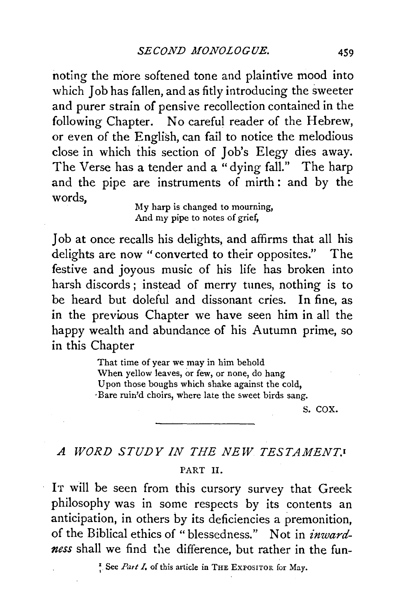noting the more softened tone and plaintive mood into which *Job* has fallen, and as fitly introducing the sweeter and purer strain of pensive recollection contained in the following Chapter. No careful reader of the Hebrew, or even of the English, can fail to notice the melodious close in which this section of Job's Elegy dies away. The Verse has a tender and a "dying fall." The harp and the pipe are instruments of mirth : and by the words,

My harp is changed to mourning, And my pipe to notes of grief,

Job at once recalls his delights, and affirms that all his delights are now "converted to their opposites." The festive and joyous music of his life has broken into harsh discords ; instead of merry tunes, nothing is to be heard but doleful and dissonant cries. In fine, as in the previous Chapter we have seen him in all the happy wealth and abundance of his Autumn prime, so in this Chapter

> That time of year we may in him behold When yellow leaves, or few, or none, do hang Upon those boughs which shake against the cold, ·Bare ruin'd choirs, where late the sweet birds sang.

> > s. cox.

## *A WORD STUDY IN THE NEW TESTAMENT.!*  PART 11.

IT will be seen from this cursory survey that Greek philosophy was in some respects by its contents an anticipation, in others by its deficiencies a premonition, of the Biblical ethics of" blessedness." Not in *inwardness* shall we find the difference, but rather in the fun-

 $\frac{1}{n}$ . See *Part I*, of this article in THE EXPOSITOR for May.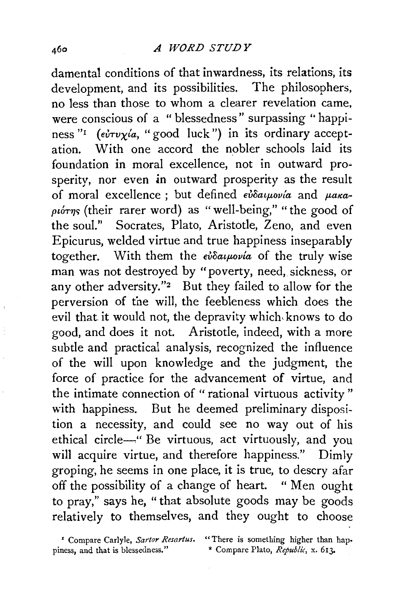damental conditions of that inwardness, its relations, its development, and its possibilities. The philosophers, no less than those to whom a clearer revelation came, were conscious of a " blessedness" surpassing '' happiness "<sup>1</sup> (ev<sup>t</sup>vy<sup>'</sup>a, "good luck") in its ordinary acceptation. With one accord the nobler schools laid its foundation in moral excellence, not in outward prosperity, nor even in outward prosperity as the result of moral excellence; but defined *evoatpovia* and para- $\rho\iota\acute{\sigma}\eta\varsigma$  (their rarer word) as "well-being," "the good of the soul." Socrates, Plato, Aristotle, Zeno, and even Epicurus, welded virtue and true happiness inseparably together. With them the  $\epsilon \nu \delta a \mu \nu \nu a$  of the truly wise man was not destroyed by "poverty, need, sickness, or any other adversity."2 But they failed to allow for the perversion of tne will, the feebleness which does the evil that it would not, the depravity which, knows to do good, and does it not. Aristotle, indeed, with a more subtle and practical analysis, recognized the influence of the will upon knowledge and the judgment, the force of practice for the advancement of virtue, and the intimate connection of " rational virtuous activity " with happiness. But he deemed preliminary disposition a necessity, and could see no way out of his ethical circle~" Be virtuous, act virtuously, and you will acquire virtue, and therefore happiness." Dimly groping, he seems in one place, it is true, to descry afar off the possibility of a change of heart. " Men ought to pray," says he, "that absolute goods may be goods relatively to themselves, and they ought to choose

piness, and that is blessedness."

**<sup>•</sup> Compare Carlyle,** *Sartor Resartus***.** "There is something higher than hap-<br>ness, and that is blessedness." <sup>•</sup> Compare Plato, *Republic*, x. 613.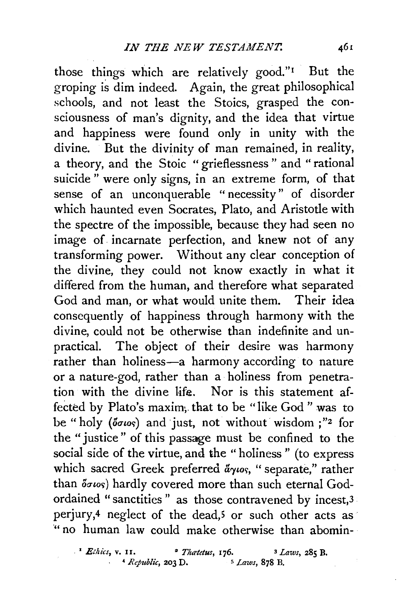those things which are relatively good." $I$  But the groping is dim indeed. Again, the great philosophical schools, and not least the Stoics, grasped the consciousness of man's dignity, and the idea that virtue and happiness were found only in unity with the divine. But the divinity of man remained, in reality, a theory, and the Stoic "grieflessness " and "rational suicide " were only signs, in an extreme form, of that sense of an unconquerable "necessity" of disorder which haunted even Socrates, Plato, and Aristotle with the spectre of the impossible, because they had seen no image of incarnate perfection, and knew not of any transforming power. Without any clear conception of the divine, they could not know exactly in what it differed from the human, and therefore what separated God and man, or what would unite them. Their idea consequently of happiness through harmony with the divine, could not be otherwise than indefinite and unpractical. The object of their desire was harmony rather than holiness-a harmony according to nature or a nature-god, rather than a holiness from penetration with the divine life. Nor is this statement affected by Plato's maxim, that to be "like God" was to be "holy ( $\delta \sigma \omega s$ ) and just, not without wisdom ;"2 for the "justice" of this passage must be confined to the social side of the virtue, and the "holiness" (to express which sacred Greek preferred  $a_{\gamma\omega\varsigma}$ , "separate," rather than  $\delta\sigma\iota$ os) hardly covered more than such eternal Godordained "sanctities" as those contravened by incest,<sup>3</sup> perjury,4 neglect of the dead,5 or such other acts as " no human law could make otherwise than abomin-

*<sup>2</sup> Ethics, v. 11. <sup>2</sup> Thatetus, 176.* <sup>3</sup> *Laws, 285 B. A Republic, 203 D.* <sup>5</sup> *Laws, 878 B.* 4 *Republic*, **203 D.**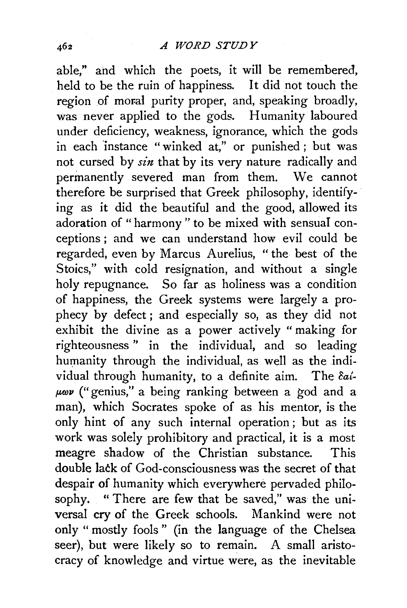able," ahd which the poets, it will be remembered, held to be the ruin of happiness. It did not touch the region of moral purity proper, and, speaking broadly, was never applied to the gods. Humanity laboured under deficiency, weakness, ignorance, which the gods in each 'instance " winked at," or punished ; but was not cursed by *sin* that by its very nature radically and permanently severed man from them. We cannot therefore be surprised that Greek philosophy, identifying as it did the beautiful and the good, allowed its adoration of " harmony " to be mixed with sensual conceptions ; and we can understand how evil could be regarded, even by Marcus Aurelius, " the best of the Stoics," with cold resignation, and without a single holy repugnance. So far as holiness was a condition of happiness, the Greek systems were largely a prophecy by defect; and especially so, as they did not exhibit the divine as a power actively " making for righteousness " in the individual, and so leading humanity through the individual, as well as the individual through humanity, to a definite aim. The *cat-* $\mu\omega\nu$  ("genius," a being ranking between a god and a man), which Socrates spoke of as his mentor, is the only hint of any such internal operation ; but as its work was solely prohibitory and practical, it is a most meagre shadow of the Christian substance. This double lack of God-consciousness was the secret of that despair of humanity which everywhere pervaded philosophy. " There are few that be saved," was the universal cry of the Greek schools. Mankind were not only " mostly fools " (in the language of the Chelsea seer), but were likely so to remain. A small aristocracy of knowledge and virtue were, as the inevitable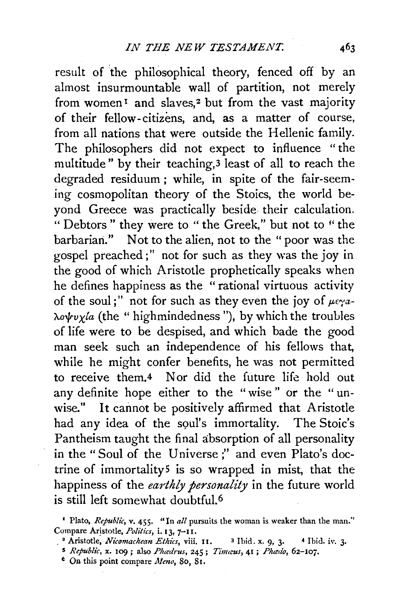result of the philosophical theory, fenced off by an almost insurmountable wall of partition, not merely from women<sup>1</sup> and slaves,<sup>2</sup> but from the vast majority of their fellow-citizens, and, as a matter of course, from all nations that were outside the Hellenic family. The philosophers did not expect to influence " the multitude" by their teaching,3 least of all to reach the degraded residuum ; while, in spite of the fair-seeming cosmopolitan theory of the Stoics, the world beyond Greece was practically beside their calculation. " Debtors" they were to "the Greek," but not to "the barbarian." Not to the alien, not to the "poor was the gospel preached;" not for such as they was the joy in the good of which Aristotle prophetically speaks when he defines happiness as the " rational virtuous activity of the soul;" not for such as they even the joy of  $\mu \epsilon \gamma a$ - $\lambda o \psi v \chi/a$  (the " highmindedness "), by which the troubles of life were to be despised, and which bade the good man seek such an independence of his fellows that, while he might confer benefits, he was not permitted to receive them.4 Nor did the future life hold out any definite hope either to the "wise " or the " unwise." It cannot be positively affirmed that Aristotle had any idea of the soul's immortality. The Stoic's Pantheism taught the final absorption of all personality in the "Soul of the Universe;" and even Plato's doctrine of immortality<sup>5</sup> is so wrapped in mist, that the happiness of the *earthly personality* in the future world is still left somewhat doubtful. 6

<sup>2</sup> Aristotle, *Nicomachean Ethics*, viii. 11. <sup>3</sup> Ibid. x. 9, 3. <sup>4</sup> Ibid. iv. 3.

<sup>t</sup> On this point compare *Meno*, 80, 81.

<sup>&</sup>lt;sup>I</sup> Plato, *Republic*, **v.** 455. "In all pursuits the woman is weaker than the man." Compare Aristotle, *Politics*, *i.* 13, 7-11.

<sup>5</sup>*Republic,* x. 109; also *Ph<edrus,* 245; *Tim<cus,* 41 ; *Ph.edo, 6z-Ioj.*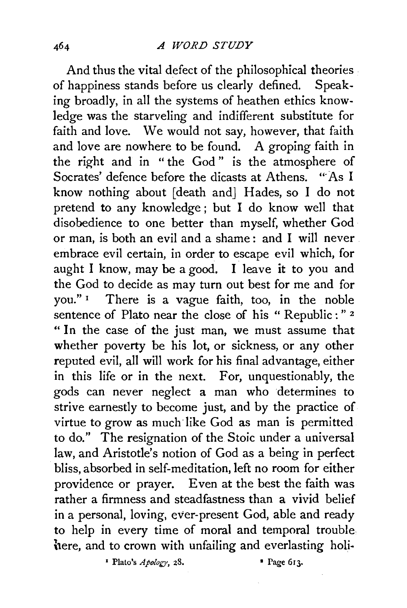And thus the vital defect of the philosophical theories . of happiness stands before us clearly defined. Speaking broadly, in all the systems of heathen ethics knowledge was the starveling and indifferent substitute for faith and love. We would not say, however, that faith and love are nowhere to be found. A groping faith in the right and in " the God " is the atmosphere of Socrates' defence before the dicasts at Athens. "As I know nothing about [death and] Hades, so I do not pretend to any knowledge ; but I do know well that disobedience to one better than myself, whether God or man, is both an evil and a shame: and I will never. embrace evil certain, in order to escape evil which, for aught I know, may be a good. I leave it to you and the God to decide as may turn out best for me and for you." 1 There is a vague faith, too, in the noble sentence of Plato near the close of his " Republic : " 2 "In the case of the just man, we must assume that whether poverty be his lot, or sickness, or any other reputed evil, all will work for his final advantage, either in this life or in the next. For, unquestionably, the gods can never neglect a man who determines to strive earnestly to become just, and by the practice of virtue to grow as much like God as man is permitted to do." The resignation of the Stoic under a universal law, and Aristotle's notion of God as a being in perfect bliss, absorbed in self-meditation, left no room for either providence or prayer. Even at the best the faith was rather a firmness and steadfastness than a vivid belief in a personal, loving, ever-present God, able and ready to help in every time of moral and temporal trouble here, and to crown with unfailing and everlasting holi-

1 Plato's *Apology,* 28. • Page 613.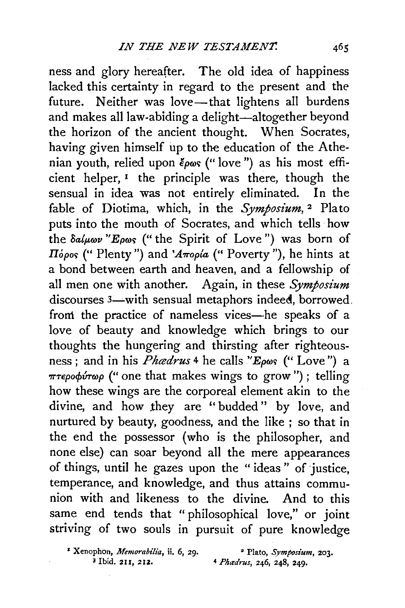ness and glory hereafter. The old idea of happiness lacked this certainty in regard to the present and the future. Neither was love-that lightens all burdens and makes all law-abiding a delight-altogether beyond the horizon of the ancient thought. When Socrates, having given himself up to the education of the Athenian youth, relied upon  $\epsilon_{\rho\omega s}$  ("love") as his most efficient helper,  $I$  the principle was there, though the sensual in idea was not entirely eliminated. In the fable of Diotima, which, in the *Symposium*,<sup>2</sup> Plato puts into the mouth of Socrates, and which tells how the  $\delta a/\mu\omega\nu$  "E<sub>p</sub> $\omega$ <sub>s</sub> ("the Spirit of Love") was born of *H*<sup>opos</sup> (" Plenty") and '*A* $\pi$ opia (" Poverty"), he hints at a bond between earth and heaven, and a fellowship of all men one with another. Again, in these *Symposium*  discourses 3—with sensual metaphors indeed, borrowed. from the practice of nameless vices-he speaks of a love of beauty and knowledge which brings to our thoughts the hungering and thirsting after righteousness; and in his *Phedrus* 4 he calls "E<sub>pws</sub> (" Love") a *πτεροφύτωρ* (" one that makes wings to grow"); telling how these wings are the corporeal element akin to the divine, and how they are "budded" by love, and nurtured by beauty, goodness, and the like ; so that in the end the possessor (who is the philosopher, and none else) can soar beyond all the mere appearances of things, until he gazes upon the " ideas " of justice, temperance, and knowledge, and thus attains communion with and likeness to the divine. And to this same end tends that " philosophical love," or joint striving of two souls in pursuit of pure knowledge

<sup>&#</sup>x27; Xenophon, *Memorabilia,* ii. 6, 29. • Plato, *Symposium,* 203. 3 Ibid. 211, 212. 4 *Phadrus,* 246, 248, 249·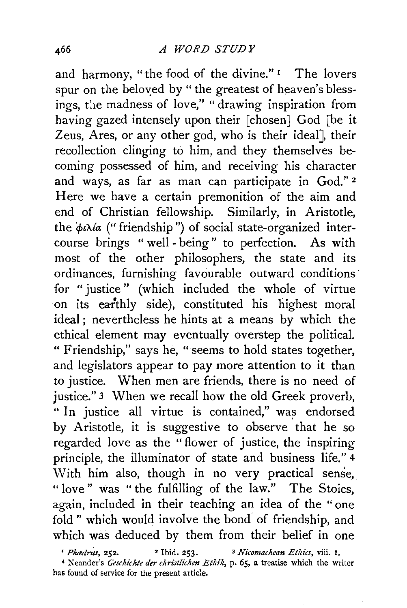and harmony, "the food of the divine." I The lovers spur on the beloved by " the greatest of heaven's blessings, the madness of love," " drawing inspiration from having gazed intensely upon their [chosen] God [be it Zeus, Ares, or any other god, who is their ideal], their recollection clinging to him, and they themselves becoming possessed of him, and receiving his character and ways, as far as man can participate in God." 2 Here we have a certain premonition of the aim and end of Christian fellowship. Similarly, in Aristotle, the  $\phi \iota \lambda \iota a$  ("friendship") of social state-organized intercourse brings "well- being" to perfection. As with most of the other philosophers, the state and its ordinances, furnishing favourable outward conditions· for "justice" (which included the whole of virtue on its earthly side), constituted his highest moral ideal ; nevertheless he hints at a means by which the ethical element may eventually overstep the political. " Friendship," says he, " seems to hold states together, and legislators appear to pay more attention to it than to justice. When men are friends, there is no need of justice." 3 When we recall how the old Greek proverb, " In justice all virtue is contained," was endorsed by Aristotle, it is suggestive to observe that he so regarded love as the " flower of justice, the inspiring principle, the illuminator of state and business life." 4  $\overline{W}$ ith him also, though in no very practical sense, " love" was "the fulfilling of the law." The Stoics, again, included in their teaching an idea of the " one fold" which would involve the bond of friendship, and which was deduced by them from their belief in one

<sup>1</sup> *Phoedrus*, 252. <sup>•</sup> Ibid. 253. <sup>3</sup> *Nicomachean Ethics*, viii. 1.

• Neander's *Geschichte der christlichen Ethik,* p. *65,* a treatise which the writer has found of service for the present article.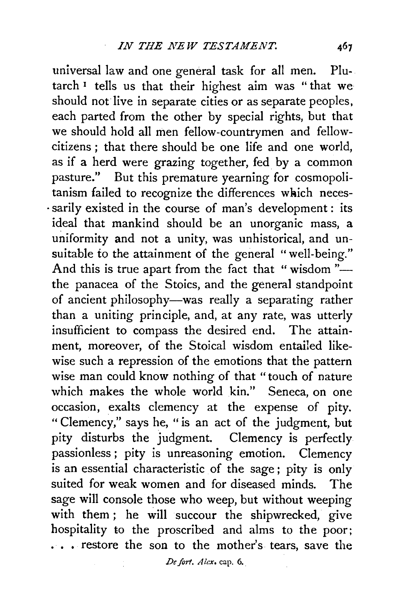universal law and one general task for all men. Plutarch<sup>1</sup> tells us that their highest aim was "that we should not live in separate cities or as separate peoples, each parted from the other by special rights, but that we should hold all men fellow-countrymen and fellowcitizens ; that there should be one life and one world, as if a herd were grazing together, fed. by a common pasture." But this premature yearning for cosmopolitanism failed to recognize the differences wkich neces- . sarily existed in the course of man's development: its ideal that mankind should be an unorganic mass, a uniformity and not a unity, was unhistorical, and unsuitable to the attainment of the general "well-being." And this is true apart from the fact that "wisdom"the panacea of the Stoics, and the general standpoint of ancient philosophy-was really a separating rather than a uniting principle, and, at any rate, was utterly insufficient to compass the desired end. The attainment, moreover, of the Stoical wisdom entailed likewise such a repression of the emotions that the pattern wise man could know nothing of that "touch of nature which makes the whole world kin." Seneca, on one occasion, exalts clemency at the expense of pity. " Clemency," says he, "is an act of the judgment, but pity disturbs the judgment. Clemency is perfectly passionless ; pity is unreasoning emotion. Clemency is an essential characteristic of the sage; pity is only suited for weak women and for diseased minds. The sage will console those who weep, but without weeping with them; he will succour the shipwrecked, give hospitality to the proscribed and alms to the poor; ... restore the son to the mother's tears, save the

De fort. Alex. cap. 6.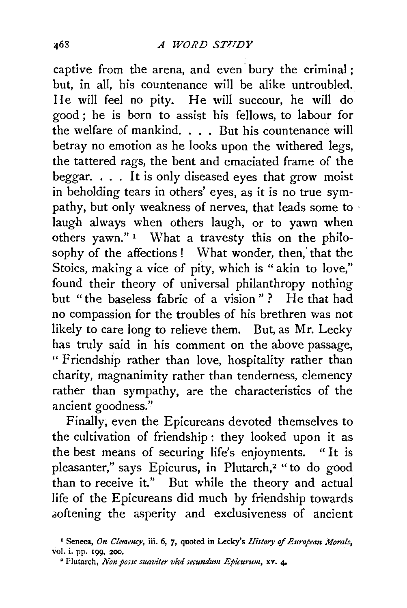captive from the arena, and even bury the criminal; but, in all, his countenance will be alike untroubled. He will feel no pity. He will succour, he will do good ; he is born to assist his fellows, to labour for the welfare of mankind. . . . But his countenance will betray no emotion as he looks upon the withered legs, the tattered rags, the bent and emaciated frame of the beggar. . . . It is only diseased eyes that grow moist in beholding tears in others' eyes, as it is no true sympathy, but only weakness of nerves, that leads some to laugh always when others laugh, or to yawn when others yawn."<sup>1</sup> What a travesty this on the philosophy of the affections ! What wonder, then; that the Stoics, making a vice of pity, which is " akin to love," found their theory of universal philanthropy nothing but "the baseless fabric of a vision" ? He that had no compassion for the troubles of his brethren was not likely to care long to relieve them. But, as Mr. Lecky has truly said in his comment on the above passage, " Friendship rather than love, hospitality rather than charity, magnanimity rather than tenderness, clemency rather than sympathy, are the characteristics of the ancient goodness."

Finally, even the Epicureans devoted themselves to the cultivation of friendship : they looked upon it as the best means of securing life's enjoyments. "It is pleasanter," says Epicurus, in Plutarch,2 "to do good than to receive it." But while the theory and actual life of the Epicureans did much by friendship towards .ooftening the asperity and exclusiveness of ancient

<sup>1</sup>Seneca, *On Clemency,* iii. 6, 7, quoted in Lecky's *History of European Morals,*  vol. i. pp. 199, 200.

<sup>•</sup> Plutarch, *Non posse suaviter vivi secundum Epicurnm,* xv. 4o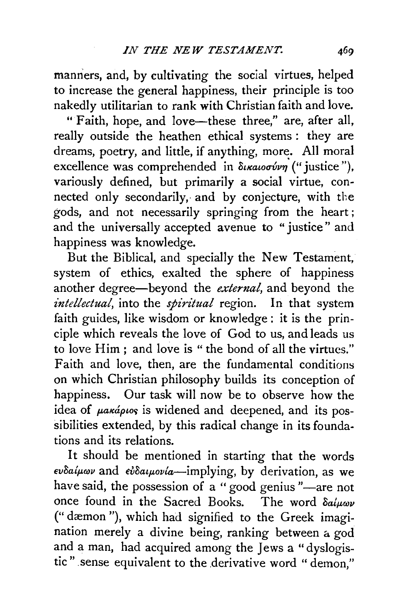manners, and, by cultivating the social virtues, helped to increase the general happiness, their principle is too nakedly utilitarian to rank with Christian faith and love.

"Faith, hope, and love-these three," are, after all, really outside the heathen ethical systems : they are dreams, poetry, and little, if anything, more. All moral excellence was comprehended in δικαιοσύνη<sup>'</sup> ("justice"), variously defined, but primarily a social virtue, connected only secondarily, and by conjecture, with the gods, and not necessarily springing from the heart ; and the universally accepted avenue to "justice" and happiness was knowledge.

But the Biblical, and specially the New Testament, system of ethics, exalted the sphere of happiness another degree-beyond the *external,* and beyond the *intellectual,* into the *spiritual* region. In that system faith guides, like wisdom or knowledge : it is the principle which reveals the love of God to us, and leads us to love Him; and love is "the bond of all the virtues." Faith and love, then, are the fundamental conditions on which Christian philosophy builds its conception of happiness. Our task will now be to observe how the idea of  $\mu$ a $\kappa$ ápios is widened and deepened, and its possibilities extended, by this radical change in its foundations and its relations.

It should be mentioned in starting that the words  $ev$ δ*aίμων* and *εὐδαιμονία*—implying, by derivation, as we have said, the possession of a "good genius "-are not once found in the Sacred Books. The word  $\delta a/\mu\omega\nu$ ("dæmon "), which had signified to the Greek imagination merely a divine being, ranking between a god and a man, had acquired among the Jews a "dyslogistic" sense equivalent to the derivative word "demon,"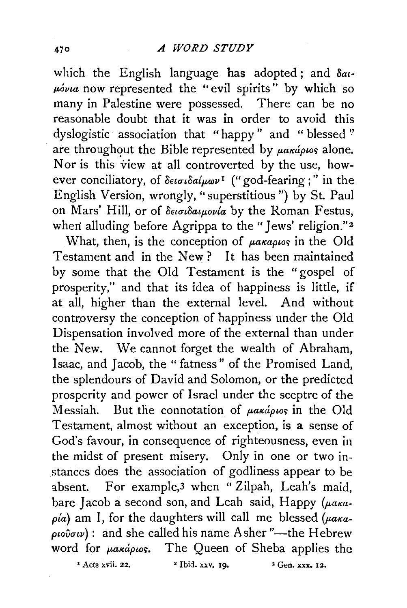which the English language has adopted; and *8at· p.ovta* now represented the "evil spirits" by which so many in Palestine were possessed. There can be no reasonable doubt that it was in order to avoid this dyslogistic association that "happy " and " blessed '' are throughout the Bible represented by  $\mu$ akápios alone. Nor is this view at all controverted by the use, however conciliatory, of *O€tatoalp,oov* 1 ("god-fearing ; " in the English Version, wrongly, "superstitious ") by St. Paul on Mars' Hill, or of δεισιδαιμονία by the Roman Festus, when alluding before Agrippa to the "Jews' religion."<sup>2</sup>

What, then, is the conception of *parapios* in the Old Testament and in the New ? It has been maintained by some that the Old Testament is the "gospel of prosperity," and that its idea of happiness is little, if at all, higher than the external level. And without controversy the conception of happiness under the Old Dispensation involved more of the external than under the New. We cannot forget the wealth of Abraham, Isaac, and Jacob, the "fatness" of the Promised Land, the splendours of David and Solomon, or the predicted prosperity and power of Israel under the sceptre of the Messiah. But the connotation of  $\mu$ akápios in the Old Testament, almost without an exception, is a sense of God's favour, in consequence of righteousness, even in the midst of present misery. Only in one or two instances does the association of godliness appear to be absent. For example,3 when "Zilpah, Leah's maid, bare Jacob a second son, and Leah said, Happy *(* $\mu$ *aka* $p(a)$  am I, for the daughters will call me blessed  $(\mu a_{Ka} - \mu a_{Ka})$  $\varphi\iota\varphi\iota\hat{\varphi}\iota\iota\nu$  : and she called his name Asher "—the Hebrew word for  $\mu$ akápios. The Queen of Sheba applies the

 $\frac{1}{2}$  Acts xvii. 22.  $\frac{1}{2}$  Ibid. xxv. 19.  $\frac{3}{2}$  Gen. xxx. 12.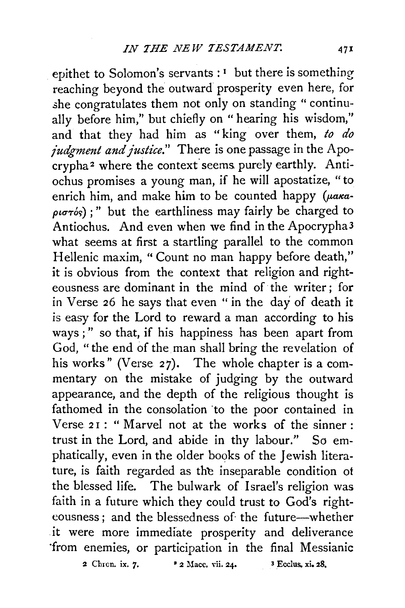epithet to Solomon's servants :  $<sup>i</sup>$  but there is something</sup> reaching beyond the outward prosperity even here, for she congratulates them not only on standing " continually before him," but chiefly on " hearing his wisdom," and that they had him as " king over them, *to do judgment and justice."* There is one passage in the Apocrypha<sup>2</sup> where the context seems purely earthly. Antiochus promises a young man, if he will apostatize, "to enrich him, and make him to be counted happy ( $\mu$ aka- $\rho$ *i* $\sigma\tau$ <sup>'</sup>'s);" but the earthliness may fairly be charged to Antiochus. And even when we find in the Apocrypha3 what seems at first a startling parallel to the common Hellenic maxim, "Count no man happy before death," it is obvious from the context that religion and righteousness are dominant in the mind of the writer; for in Verse 26 he says that even "in the day of death it is easy for the Lord to reward a man according to his ways;" so that, if his happiness has been apart from God, "the end of the man shall bring the revelation of his works" (Verse 27). The whole chapter is a commentary on the mistake of judging by the outward appearance, and the depth of the religious thought is fathomed in the consolation to the poor contained in Verse 21: "Marvel not at the works of the sinner: trust in the Lord, and abide in thy labour." So emphatically, even in the older books of the Jewish literature, is faith regarded as the inseparable condition of the blessed life. The bulwark of Israel's religion was faith in a future which they could trust to God's righteousness; and the blessedness of the future-whether it were more immediate prosperity and deliverance ·from enemies, or participation in the final Messianic

2 Chron. ix. *1·* • 2 Mace. vii. 24. 3 Ecclus. xi. 28,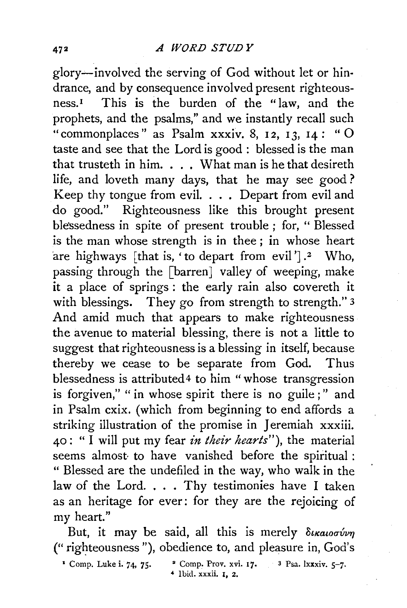glory-involved the serving of God without let or hindrance, and by consequence involved present righteousness.1 This is the burden of the "law, and the prophets, and the psalms," and we instantly recall such "commonplaces" as Psalm xxxiv. 8, 12, 13, 14: "O taste and see that the Lord is good : blessed is the man that trusteth in him.  $\ldots$  What man is he that desireth life, and loveth many days, that he may see good? Keep thy tongue from evil. . . . Depart from evil and do good." Righteousness like this brought present ble'ssedness in spite of present trouble ; for, "Blessed is the man whose strength is in thee; in whose heart are highways [that is, 'to depart from evil']. $2$  Who, passing through the [barren] valley of weeping, make it a place of springs: the early rain also covereth it with blessings. They go from strength to strength." 3 And amid much that appears to make righteousness the avenue to material blessing, there is not a little to suggest that righteousness is a blessing in itself, because thereby we cease to be separate from God. Thus blessedness is attributed<sup>4</sup> to him "whose transgression is forgiven," " in whose spirit there is no guile;" and in Psalm cxix. (which from beginning to end affords a striking illustration of the promise in Jeremiah xxxiii. 40: " I will put my fear *in their hearts"),* the material seems almost- to have vanished before the spiritual : " Blessed are the undefiled in the way, who walk in the law of the Lord. . . . Thy testimonies have I taken as an heritage for ever: for they are the rejoicing of my heart."

But, it may be said, all this is merely  $\delta$ ikaioovirn ("righteousness"), obedience to, and pleasure in, God's

- $1$  Comp. Luke i. 74, 75.
- *4* Ibid. xxxii. *1,* 2. <sup>2</sup> Comp. Prov. xvi. 17.  $3$  Psa. lxxxiv.  $5-7$ .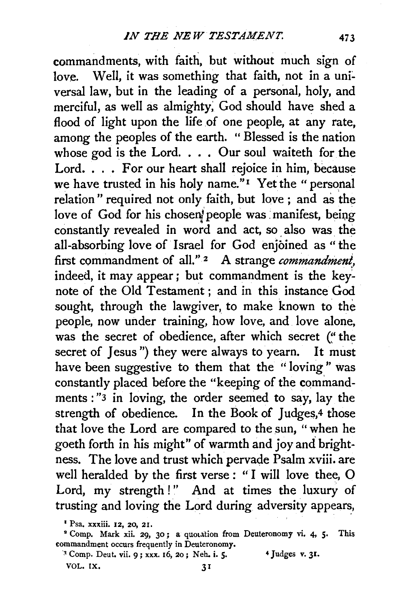commandments, with faith, but without much sign of love. Well, it was something that faith, not in a universal law, but in the leading of a personal, holy, and merciful, as well as almighty; God should have shed a flood of light upon the life of one people, at any rate, among the peoples of the earth. " Blessed is the nation whose god is the Lord.  $\ldots$  Our soul waiteth for the Lord. . . . For our heart shall rejoice in him, because we have trusted in his holy name."<sup>I</sup> Yet the "personal relation" required not only faith, but love; and as the love of God for his chosen people was manifest, being constantly revealed in word and act, so. also was. the all-absorbing love of Israel for God enjoined as "the first commandment of all."  $2$  A strange *commandment*, indeed, it may appear; but commandment is the keynote of the Old Testament; and in this instance God sought, through the lawgiver, to make known to the people, now under training, how love, and love alone, was the secret of obedience, after which secret ("the secret of Jesus") they were always to yearn. It must have been suggestive to them that the "loving" was constantly placed before the "keeping of the commandments : "3 in loving, the order seemed to say, lay the strength of obedience. In the Book of Judges,<sup>4</sup> those that love the Lord are compared to the sun, " when he goeth forth in his might" of warmth and joy and brightness. The love and trust which pervade Psalm xviii. are well heralded by the first verse : " I will love thee, 0 Lord, my strength!" And at times the luxury of trusting and loving the Lord during adversity appears,

<sup>1</sup> Psa. xxxiii. 12, 20, 21.

<sup>&</sup>lt;sup>2</sup> Comp. Mark xii. 29, 30; a quotation from Deuteronomy vi. 4, 5. This commandment occurs frequently in Deuteronomy.

<sup>·~</sup> Comp. Deut. vii. 9; xxx. 16, 20; Neh. i. *5·* 4 Judges v. 31. VOL. IX. 31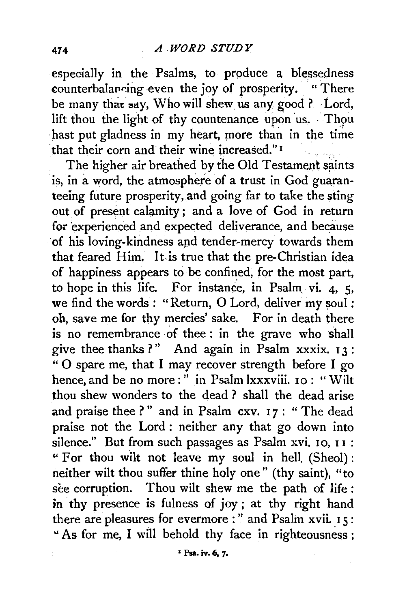especially in the Psalms, to produce a blessedness counterbalancing even the joy of prosperity. "There be many that say, Who will shew us any good ? Lord, lift thou the light of thy countenance upon us. Thou hast put gladness in my heart, more than in the time that their corn and their wine increased."<sup>1</sup>

The higher air breathed by the Old Testament saints is, in a word, the atmosphere of a trust in God guaranteeing future prosperity, and going far to take the sting out of present calamity; and a love of God in return for experienced and expected deliverance, and because of his loving-kindness apd tender~mercy towards them that feared Him. It is true that the pre-Christian idea of happiness appears to be confined, for the most part, to hope in this life. For instance, in Psalm vi.  $4, 5$ , we find the words : "Return, O Lord, deliver my soul: oh, save me for thy mercies' sake. For in death there is no remembrance of thee: in the grave who shall give thee thanks?" And again in Psalm xxxix.  $13$ : " 0 spare me, that I may recover strength before I go hence, and be no more:" in Psalm  $lxxxviii.$  10: "Wilt thou shew wonders to the dead ? shall the dead arise and praise thee ?" and in Psalm cxv. 17: "The dead praise not the Lord : neither any that go down into silence." But from such passages as Psalm xvi. 10, II : .. For thou wilt not leave my soul in hell. (Sheol): neither wilt thou suffer thine holy one" (thy saint), "to see corruption. Thou wilt shew me the path of life : in thy presence is fulness of joy ; at thy right hand there are pleasures for evermore : " and Psalm xvii. 15: " As for me, I will behold thy face in righteousness;

I Psa. iv, 6, *7•*